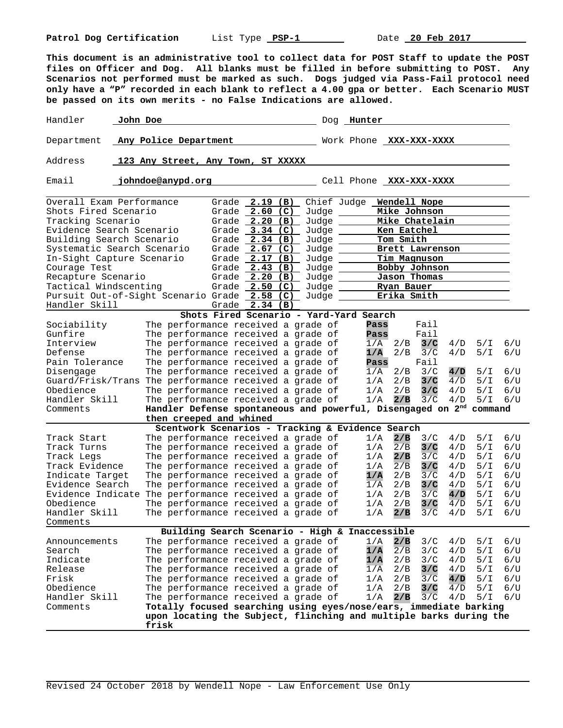**This document is an administrative tool to collect data for POST Staff to update the POST files on Officer and Dog. All blanks must be filled in before submitting to POST. Any Scenarios not performed must be marked as such. Dogs judged via Pass-Fail protocol need only have a "P" recorded in each blank to reflect a 4.00 gpa or better. Each Scenario MUST be passed on its own merits - no False Indications are allowed.**

Handler John Doe Dog Hunter Department **Any Police Department Work Phone XXX-XXX-XXXX** Address **123 Any Street, Any Town, ST XXXXX**  Email **johndoe@anypd.org Cell Phone XXX-XXXX** Overall Exam Performance Grade **2.19 (B)** Chief Judge **Wendell Nope**  Shots Fired Scenario Grade  $\frac{2.60}{2.20}$  (C) Judge Mike Johnson Grade 2.20 (B) Judge Mike Chatelain Tracking Scenario Grade **2.20 (B)** Judge **Mike Chatelain**  Grade 3.34 (C) Judge Ken Eatchel Building Search Scenario Grade 2.34 (B) Judge **Tom Smith** Systematic Search Scenario Grade 2.67 (C) Judge **Brett Lawrenson** In-Sight Capture Scenario Grade **2.17 (B)** Judge **Tim Magnuson**  Courage Test **Grade Grade 2.43 (B)** Judge **Bobby Johnson**<br>Recapture Scenario **Grade 2.20 (B)** Judge **Jason Thomas** Recapture Scenario Grade **2.20 (B)** Judge **Jason Thomas**  Grade 2.50 (C) Judge <u>Ryan Bauer Ryan Bauer</u><br>Calculate 2.58 (C) Judge Rika Smith Pursuit Out-of-Sight Scenario Grade 2.58 (C) Judge \_\_\_\_\_\_ Erika Smith Handler Skill Grade **2.34 (B) Shots Fired Scenario - Yard-Yard Search** Sociability The performance received a grade of **Pass** Fail Gunfire The performance received a grade of **Pass** Fail Fasil Interview The performance received a grade of  $1/A$  2/B 3/C Interview The performance received a grade of 1/A 2/B **3/C** 4/D 5/I 6/U Defense The performance received a grade of<br>**Pain Tolerance** The performance received a grade of The performance received a grade of **Pass** Fail<br>The performance received a grade of 1/A 2/B 3/C Disengage The performance received a grade of 1/A 2/B 3/C **4/D** 5/I 6/U Guard/Frisk/Trans The performance received a grade of  $1/A$  2/B **3/C**  $4/D$  5/I 6/U<br>Obedience The performance received a grade of  $1/A$  2/B **3/C**  $4/D$  5/I 6/U The performance received a grade of  $1/A$   $2/B$   $3/C$   $4/D$   $5/I$   $6/U$ <br>The performance received a grade of  $1/A$   $2/B$   $3/C$   $4/D$   $5/I$   $6/U$ Handler Skill The performance received a grade of Comments **Handler Defense spontaneous and powerful, Disengaged on 2nd command then creeped and whined Scentwork Scenarios - Tracking & Evidence Search**<br>he performance received a grade of 1/A 2/B 3/C Track Start The performance received a grade of 1/A **2/B** 3/C 4/D 5/I 6/U Track Turns The performance received a grade of  $1/A$   $2/B$   $3/C$   $4/D$   $5/I$   $6/U$ <br>Track Legs The performance received a grade of  $1/A$   $2/B$   $3/C$   $4/D$   $5/I$   $6/U$ Track Legs The performance received a grade of  $1/A$  2/B  $\frac{3}{C}$  4/D 5/I 6/U<br>Track Evidence The performance received a grade of  $1/A$  2/B 3/C 4/D 5/I 6/U The performance received a grade of  $1/A$ <br>The performance received a grade of  $1/A$ Indicate Target The performance received a grade of **1/A** 2/B 3/C 4/D 5/I 6/U The performance received a grade of  $\frac{1}{A}$  2/B  $\frac{3}{C}$   $\frac{4}{D}$  5/I 6/U<br>The performance received a grade of  $\frac{1}{A}$  2/B  $\frac{3}{C}$   $\frac{4}{D}$  5/I 6/U Evidence Indicate The performance received a grade of  $1/A$  2/B 3/C  $4/D$  5/I 0bedience The performance received a grade of  $1/A$  2/B 3/C  $4/D$  5/I Obedience The performance received a grade of 1/A 2/B **3/C** 4/D 5/I 6/U The performance received a grade of Comments **Building Search Scenario - High & Inaccessible** Announcements The performance received a grade of 1/A **2/B** 3/C 4/D 5/I 6/U Search The performance received a grade of  $1/A$   $\overline{2/B}$   $3/C$   $4/D$   $5/I$   $6/U$ <br>Indicate The performance received a grade of  $1/A$   $2/B$   $3/C$   $4/D$   $5/I$   $6/U$ The performance received a grade of  $\frac{1}{A}$   $\frac{2}{B}$   $\frac{3}{C}$   $\frac{4}{D}$   $\frac{5}{I}$   $\frac{6}{U}$ <br>The performance received a grade of  $\frac{1}{A}$   $\frac{2}{B}$   $\frac{3}{C}$   $\frac{4}{D}$   $\frac{5}{I}$   $\frac{6}{U}$ Release The performance received a grade of  $\overline{1/A}$  2/B Frisk The performance received a grade of 1/A 2/B 3/C **4/D** 5/I 6/U<br>Obedience The performance received a grade of 1/A 2/B <mark>3/C</mark> 4/D 5/I 6/U Obedience The performance received a grade of 1/A 2/B **3/C** 4/D 5/I 6/U Handler Skill The performance received a grade of the 2/B 3/C<br>Comments **Totally focused searching using eyes/nose/ears, immed** Totally focused searching using eyes/nose/ears, immediate barking  **upon locating the Subject, flinching and multiple barks during the frisk**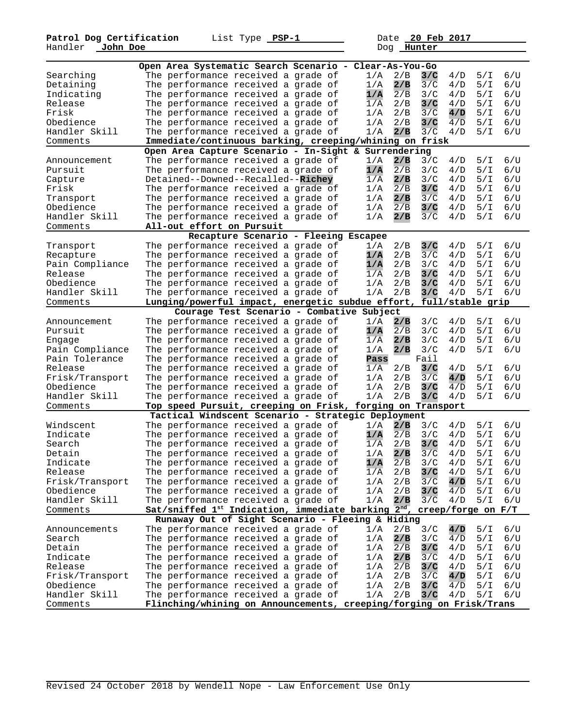|                 | Open Area Systematic Search Scenario - Clear-As-You-Go                      |                                           |                  |                         |                  |         |
|-----------------|-----------------------------------------------------------------------------|-------------------------------------------|------------------|-------------------------|------------------|---------|
| Searching       | The performance received a grade of                                         |                                           | 1/A              | 2/B<br>3/C              | 5/1<br>4/D       | 6/U     |
| Detaining       | The performance received a grade of                                         |                                           | 1/A              | 2/B<br>3/C              | 5/1<br>4/D       | 6/U     |
| Indicating      | The performance received a grade of                                         |                                           | 1/A              | 2/B<br>3/C              | 5/1<br>4/D       | 6/U     |
| Release         | The performance received a grade of                                         |                                           | 1/A              | 2/B<br>3/C              | 4/D<br>5/I       | 6/U     |
| Frisk           | The performance received a grade of                                         |                                           | 1/A              | 2/B<br>3/C              | 5/1<br>4/D       | 6/U     |
| Obedience       | The performance received a grade of                                         |                                           | 1/A              | 2/B<br>3/C              | 5/1<br>4/D       | 6/U     |
| Handler Skill   | The performance received a grade of                                         |                                           | 1/A              | 2/B<br>3/C              | 4/D<br>5/I       | 6/U     |
|                 |                                                                             |                                           |                  |                         |                  |         |
| Comments        | Immediate/continuous barking, creeping/whining on frisk                     |                                           |                  |                         |                  |         |
|                 | Open Area Capture Scenario - In-Sight & Surrendering                        |                                           |                  |                         |                  |         |
| Announcement    | The performance received a grade of                                         |                                           | 1/A              | 2/B<br>3/C              | 4/D<br>5/1       | 6/U     |
| Pursuit         | The performance received a grade of                                         |                                           | 1/A              | 2/B<br>3/C              | 4/D<br>5/I       | 6/U     |
| Capture         | Detained--Downed--Recalled--Richey                                          |                                           | 1/A              | 2/B<br>3/C              | 5/1<br>4/D       | 6/U     |
| Frisk           | The performance received a grade of                                         |                                           | 1/A              | 2/B<br>3/C              | 5/1<br>4/D       | 6/U     |
| Transport       | The performance received a grade of                                         |                                           | 1/A              | 2/B<br>3/C              | 4/D<br>5/I       | 6/U     |
| Obedience       | The performance received a grade of                                         |                                           | 1/A              | 2/B<br>3/C              | 5/1<br>4/D       | 6/U     |
| Handler Skill   | The performance received a grade of                                         |                                           | 1/A              | 3/C<br>2/B              | 5/1<br>4/D       | 6/U     |
| Comments        | All-out effort on Pursuit                                                   |                                           |                  |                         |                  |         |
|                 |                                                                             | Recapture Scenario - Fleeing Escapee      |                  |                         |                  |         |
| Transport       | The performance received a grade of                                         |                                           | 1/A              | 3/C<br>2/B              | 4/D<br>5/1       | 6/U     |
| Recapture       | The performance received a grade of                                         |                                           | 1/A              | 2/B<br>3/C              | 5/1<br>4/D       | 6/U     |
| Pain Compliance | The performance received a grade of                                         |                                           | 1/A              | 2/B<br>3/C              | 4/D<br>5/1       | 6/U     |
| Release         | The performance received a grade of                                         |                                           | 1/A              | 2/B<br>3/C              | 4/D<br>5/I       | 6/U     |
| Obedience       | The performance received a grade of                                         |                                           | 1/A              | 2/B<br>3/C              | 4/D<br>5/1       | 6/U     |
| Handler Skill   | The performance received a grade of                                         |                                           | 1/A              | 2/B<br>3/C              | 5/1<br>4/D       | 6/U     |
| Comments        | Lunging/powerful impact, energetic subdue effort,                           |                                           |                  |                         | full/stable grip |         |
|                 |                                                                             | Courage Test Scenario - Combative Subject |                  |                         |                  |         |
| Announcement    | The performance received a grade of                                         |                                           | 1/A              | 2/B<br>3/C              | 4/D<br>5/I       | 6/U     |
| Pursuit         | The performance received a grade of                                         |                                           | 1/A              | $\overline{2/B}$<br>3/C | 4/D<br>5/I       | 6/U     |
| Engage          | The performance received a grade of                                         |                                           | 1/A              | 2/B<br>3/C              | 4/D<br>5/I       | 6/U     |
| Pain Compliance | The performance received a grade of                                         |                                           | 1/A              | 2/B<br>3/C              | 5/1<br>4/D       | 6/U     |
| Pain Tolerance  | The performance received a grade of                                         |                                           | Pass             | Fail                    |                  |         |
| Release         | The performance received a grade of                                         |                                           | 1/A              | 3/C<br>2/B              | 4/D<br>5/I       | 6/U     |
| Frisk/Transport | The performance received a grade of                                         |                                           | 1/A              | 2/B<br>3/C              | 5/1<br>4/D       | 6/U     |
| Obedience       | The performance received a grade of                                         |                                           | 1/A              | 2/B<br>3/C              | 4/D<br>5/1       | 6/U     |
| Handler Skill   | The performance received a grade of                                         |                                           | 1/A              | 2/B<br>3/C              | 4/D<br>5/I       | 6/U     |
| Comments        | Top speed Pursuit, creeping on Frisk,                                       |                                           |                  | forging on Transport    |                  |         |
|                 | Tactical Windscent Scenario - Strategic Deployment                          |                                           |                  |                         |                  |         |
| Windscent       | The performance received a grade of                                         |                                           | 1/A              | 2/B<br>3/C              | 5/1<br>4/D       | 6/U     |
| Indicate        | The performance received a grade of                                         |                                           | 1/A              | 2/B<br>3/C              | 4/D<br>5/I       | 6/U     |
| Search          | The performance received a grade of                                         |                                           | 1/A              | 2/B<br>3/C              | 5/1<br>4/D       | 6/U     |
| Detain          | The performance received a grade of                                         |                                           | 1/A              | 3/C<br>2/B              | 4/D<br>5/I       | 6/U     |
| Indicate        | The performance received a grade of                                         |                                           | 1/A              | 2/B<br>3/C              | 4/D<br>5/I       | 6/U     |
| Release         | The performance received a grade of                                         |                                           | $1/\overline{A}$ | 3/C<br>2/B              | 5/1<br>4/D       | 6/U     |
| Frisk/Transport | The performance received a grade of                                         |                                           | 1/A              | 2/B<br>3/C              | 4/D<br>5/1       | 6/U     |
| Obedience       | The performance received a grade of                                         |                                           | 1/A              | 2/B<br>3/C              | 5/1<br>4/D       | 6/U     |
| Handler Skill   | The performance received a grade of                                         |                                           | 1/A              | 2/B<br>3/C              | 4/D<br>5/I       | 6/U     |
| Comments        | Sat/sniffed 1st Indication, immediate barking $2^{nd}$ , creep/forge on F/T |                                           |                  |                         |                  |         |
|                 |                                                                             |                                           |                  |                         |                  |         |
|                 | Runaway Out of Sight Scenario - Fleeing & Hiding                            |                                           |                  |                         |                  |         |
| Announcements   | The performance received a grade of                                         |                                           | 1/A              | 3/C<br>2/B              | 4/D<br>5/1       | 6/U     |
| Search          | The performance received a grade of                                         |                                           | 1/A              | 2/B<br>3/C              | 4/D<br>5/1       | 6/U     |
| Detain          | The performance received a grade of                                         |                                           | 1/A              | 2/B<br>3/C              | 4/D<br>5/1       | 6/U     |
| Indicate        | The performance received a grade of                                         |                                           | 1/A              | 2/B<br>3/C              | 4/D<br>5/1       | 6/U     |
| Release         | The performance received a grade of                                         |                                           | 1/A              | 2/B<br>3/C              | 4/D<br>5/I       | 6/U     |
| Frisk/Transport | The performance received a grade of                                         |                                           | 1/A              | 2/B<br>3/C              | 4/D<br>5/1       | 6/U     |
| Obedience       | The performance received a grade of                                         |                                           | 1/A              | 2/B<br>3/C              | 4/D<br>5/1       | 6/U     |
| Handler Skill   | The performance received a grade of                                         |                                           | 1/A              | 2/B<br>3/C              | 5/1<br>4/D       | $6$ / U |
| Comments        | Flinching/whining on Announcements, creeping/forging on Frisk/Trans         |                                           |                  |                         |                  |         |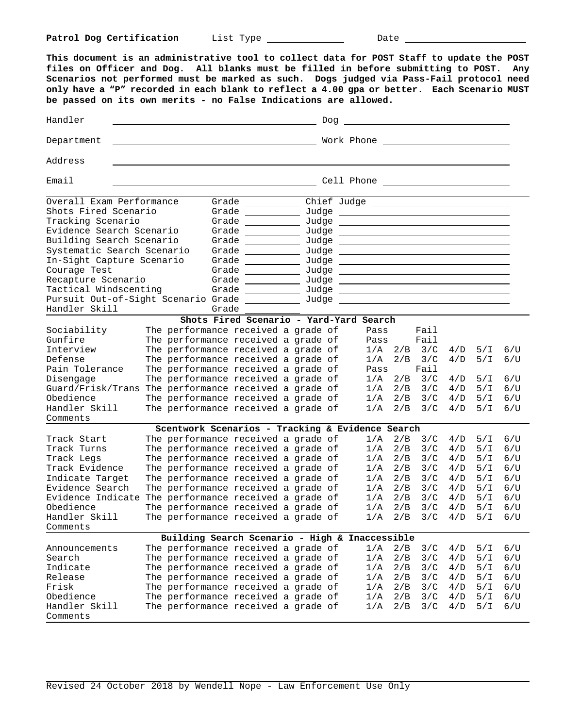**This document is an administrative tool to collect data for POST Staff to update the POST files on Officer and Dog. All blanks must be filled in before submitting to POST. Any Scenarios not performed must be marked as such. Dogs judged via Pass-Fail protocol need only have a "P" recorded in each blank to reflect a 4.00 gpa or better. Each Scenario MUST be passed on its own merits - no False Indications are allowed.** HandlerDog Department Work Phone Address EmailCell Phone Overall Exam Performance Grade Chief Judge \_ Shots Fired Scenario Grade Grade Shots Fired Scenario Grade Judge Tracking Scenario Grade Judge Evidence Search Scenario Grade Judge Building Search Scenario Grade Judge Systematic Search Scenario Grade \_\_\_\_\_\_\_\_\_\_ Judge In-Sight Capture Scenario Grade \_\_\_\_\_\_\_\_\_\_ Judge Courage Test and Grade <u>Courage Test and Sudge</u> Recapture Scenario Grade \_\_\_\_\_\_\_\_\_\_\_ Judge Tactical Windscenting Grade \_\_\_\_\_\_\_\_\_\_\_ Judge Pursuit Out-of-Sight Scenario Grade \_\_\_\_\_\_\_\_\_\_ Judge Handler Skill Grade **Shots Fired Scenario - Yard-Yard Search** Sociability The performance received a grade of Pass Fail<br>Gunfire The performance received a grade of Pass Fail Gunfire The performance received a grade of Pass Fail Interview The performance received a grade of 1/A 2/B 3/C 4/D 5/I 6/U Defense  $\,$  The performance received a grade of  $\,$   $\,$  1/A  $\,$  2/B  $\,$  3/C  $\,$  4/D  $\,$  5/I  $\,$  6/U  $\,$ Pain Tolerance The performance received a grade of Pass Fail Disengage  $\hbox{The performance received a grade of} \qquad 1/A$   $2/B$   $3/C$   $4/D$   $5/I$   $6/U$ Guard/Frisk/Trans The performance received a grade of 1/A 2/B 3/C 4/D 5/I 6/U Obedience  $\hbox{The performance received a grade of} \qquad 1/A$   $2/B$   $3/C$   $4/D$   $5/I$   $6/U$ Handler Skill The performance received a grade of 1/A 2/B 3/C 4/D 5/I 6/U Comments **Scentwork Scenarios - Tracking & Evidence Search** Track Start The performance received a grade of  $1/A$   $2/B$   $3/C$   $4/D$   $5/I$   $6/U$ <br>Track Turns The performance received a grade of  $1/A$   $2/B$   $3/C$   $4/D$   $5/I$   $6/U$ Track Turns The performance received a grade of 1/A 2/B 3/C 4/D 5/I 6/U The performance received a grade of  $1/A$  2/B 3/C  $4/D$  5/I 6/U<br>The performance received a grade of  $1/A$  2/B 3/C  $4/D$  5/I 6/U<br>The performance received a grade of  $1/A$  2/B 3/C  $4/D$  5/I 6/U<br>The performance received a grade of Track Evidence The performance received a grade of Indicate Target The performance received a grade of Evidence Search The performance received a grade of  $1/A$   $2/B$   $3/C$   $4/D$   $5/I$   $6/U$ <br>Evidence Indicate The performance received a grade of  $1/A$   $2/B$   $3/C$   $4/D$   $5/I$   $6/U$ Evidence Indicate The performance received a grade of  $1/A$   $2/B$   $3/C$   $4/D$   $5/I$   $6/U$ <br>Obedience The performance received a grade of  $1/A$   $2/B$   $3/C$   $4/D$   $5/I$   $6/U$ Obedience The performance received a grade of  $1/A$   $2/B$   $3/C$   $4/D$   $5/I$   $6/U$ <br>Handler Skill The performance received a grade of  $1/A$   $2/B$   $3/C$   $4/D$   $5/I$   $6/U$ Handler Skill The performance received a grade of Comments **Building Search Scenario - High & Inaccessible** Announcements The performance received a grade of  $1/A$   $2/B$   $3/C$   $4/D$   $5/I$   $6/U$ <br>Search The performance received a grade of  $1/A$   $2/B$   $3/C$   $4/D$   $5/I$   $6/II$ Search The performance received a grade of 1/A 2/B 3/C 4/D 5/I 6/U Indicate The performance received a grade of  $1/A$   $2/B$   $3/C$   $4/D$   $5/I$   $6/U$ Release  $\hbox{The performance received a grade of} \qquad 1/A$   $2/B$   $3/C$   $4/D$   $5/I$   $6/U$ Frisk The performance received a grade of 1/A 2/B 3/C 4/D 5/I 6/U Obedience  $\hbox{The performance received a grade of} \qquad 1/A$   $2/B$   $3/C$   $4/D$   $5/I$   $6/U$ Handler Skill The performance received a grade of 1/A 2/B 3/C 4/D 5/I 6/U Comments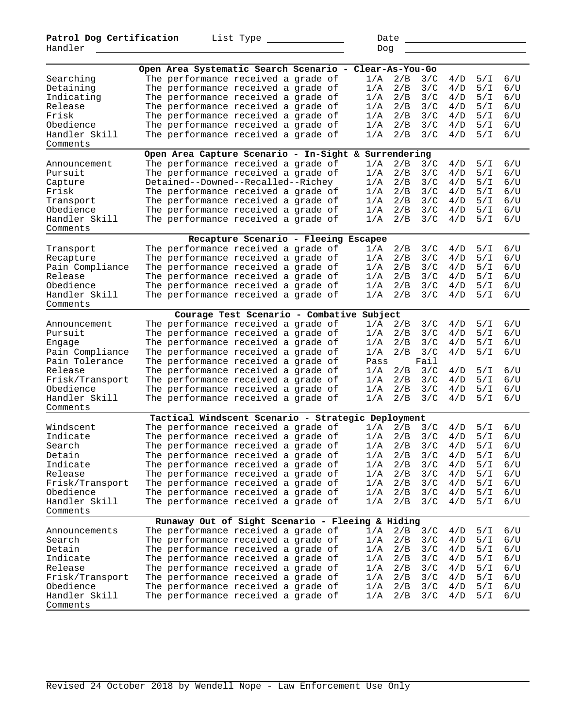|                 | Open Area Systematic Search Scenario - Clear-As-You-Go |                                           |  |      |     |      |       |     |         |
|-----------------|--------------------------------------------------------|-------------------------------------------|--|------|-----|------|-------|-----|---------|
| Searching       | The performance received a grade of                    |                                           |  | 1/A  | 2/B | 3/C  | 4/D   | 5/T | 6/U     |
| Detaining       | The performance received a grade of                    |                                           |  | 1/A  | 2/B | 3/C  | 4/D   | 5/1 | 6/U     |
| Indicating      | The performance received a grade of                    |                                           |  | 1/A  | 2/B | 3/C  | 4/D   | 5/1 | 6/U     |
| Release         | The performance received a grade of                    |                                           |  | 1/A  | 2/B | 3/C  | 4/D   | 5/1 | 6/U     |
| Frisk           | The performance received a grade of                    |                                           |  | 1/A  | 2/B | 3/C  | 4/D   | 5/1 | 6/U     |
| Obedience       | The performance received a grade of                    |                                           |  | 1/A  | 2/B | 3/C  | 4/D   | 5/1 | 6/U     |
| Handler Skill   | The performance received a grade of                    |                                           |  | 1/A  | 2/B | 3/C  | 4/D   | 5/1 | 6/U     |
| Comments        |                                                        |                                           |  |      |     |      |       |     |         |
|                 | Open Area Capture Scenario - In-Sight & Surrendering   |                                           |  |      |     |      |       |     |         |
| Announcement    | The performance received a grade of                    |                                           |  | 1/A  | 2/B | 3/C  | 4/D   | 5/1 | 6/U     |
| Pursuit         | The performance received a grade of                    |                                           |  | 1/A  | 2/B | 3/C  | 4/D   | 5/1 | 6/U     |
| Capture         | Detained--Downed--Recalled--Richey                     |                                           |  | 1/A  | 2/B | 3/C  | 4/D   | 5/1 | 6/U     |
| Frisk           | The performance received a grade of                    |                                           |  | 1/A  | 2/B | 3/C  | 4/D   | 5/1 | 6/U     |
| Transport       | The performance received a grade of                    |                                           |  | 1/A  | 2/B | 3/C  | 4 / D | 5/1 | 6/U     |
| Obedience       | The performance received a grade of                    |                                           |  | 1/A  | 2/B | 3/C  | 4/D   | 5/I | 6/U     |
| Handler Skill   | The performance received a grade of                    |                                           |  | 1/A  | 2/B | 3/C  | 4/D   | 5/1 | 6/U     |
| Comments        |                                                        |                                           |  |      |     |      |       |     |         |
|                 |                                                        | Recapture Scenario - Fleeing Escapee      |  |      |     |      |       |     |         |
| Transport       | The performance received a grade of                    |                                           |  | 1/A  | 2/B | 3/C  | 4/D   | 5/1 | 6/U     |
|                 | The performance received a grade of                    |                                           |  | 1/A  | 2/B | 3/C  | 4/D   | 5/1 | 6/U     |
| Recapture       | The performance received a grade of                    |                                           |  | 1/A  | 2/B | 3/C  | 4/D   | 5/1 | 6/U     |
| Pain Compliance |                                                        |                                           |  |      |     |      |       |     | 6/U     |
| Release         | The performance received a grade of                    |                                           |  | 1/A  | 2/B | 3/C  | 4/D   | 5/I |         |
| Obedience       | The performance received a grade of                    |                                           |  | 1/A  | 2/B | 3/C  | 4/D   | 5/T | 6/U     |
| Handler Skill   | The performance received a grade of                    |                                           |  | 1/A  | 2/B | 3/C  | 4/D   | 5/1 | 6/U     |
| Comments        |                                                        |                                           |  |      |     |      |       |     |         |
|                 |                                                        | Courage Test Scenario - Combative Subject |  |      |     |      |       |     |         |
| Announcement    | The performance received a grade of                    |                                           |  | 1/A  | 2/B | 3/C  | 4/D   | 5/1 | 6/U     |
| Pursuit         | The performance received a grade of                    |                                           |  | 1/A  | 2/B | 3/C  | 4 / D | 5/1 | 6/U     |
| Engage          | The performance received a grade of                    |                                           |  | 1/A  | 2/B | 3/C  | 4/D   | 5/I | $6$ / U |
| Pain Compliance | The performance received a grade of                    |                                           |  | 1/A  | 2/B | 3/C  | 4/D   | 5/I | 6/U     |
| Pain Tolerance  | The performance received a grade of                    |                                           |  | Pass |     | Fail |       |     |         |
| Release         | The performance received a grade of                    |                                           |  | 1/A  | 2/B | 3/C  | 4/D   | 5/I | $6$ / U |
| Frisk/Transport | The performance received a grade of                    |                                           |  | 1/A  | 2/B | 3/C  | 4/D   | 5/1 | 6/U     |
| Obedience       | The performance received a grade of                    |                                           |  | 1/A  | 2/B | 3/C  | 4/D   | 5/1 | 6/U     |
| Handler Skill   | The performance received a grade of                    |                                           |  | 1/A  | 2/B | 3/C  | 4/D   | 5/I | 6/U     |
| Comments        |                                                        |                                           |  |      |     |      |       |     |         |
|                 | Tactical Windscent Scenario - Strategic Deployment     |                                           |  |      |     |      |       |     |         |
| Windscent       | The performance received a grade of                    |                                           |  | 1/A  | 2/B | 3/C  | 4/D   | 5/1 | 6/U     |
| Indicate        | The performance received a grade of                    |                                           |  | 1/A  | 2/B | 3/C  | 4/D   | 5/1 | $6$ / U |
| Search          | The performance received a grade of                    |                                           |  | 1/A  | 2/B | 3/C  | 4/D   | 5/1 | 6/U     |
| Detain          | The performance received a grade of                    |                                           |  | 1/A  | 2/B | 3/C  | 4/D   | 5/T | 6/U     |
| Indicate        | The performance received a grade of                    |                                           |  | 1/A  | 2/B | 3/C  | 4/D   | 5/1 | 6/U     |
| Release         | The performance received a grade of                    |                                           |  | 1/A  | 2/B | 3/C  | 4/D   | 5/1 | 6/U     |
| Frisk/Transport | The performance received a grade of                    |                                           |  | 1/A  | 2/B | 3/C  | 4/D   | 5/1 | 6/U     |
| Obedience       | The performance received a grade of                    |                                           |  | 1/A  | 2/B | 3/C  | 4/D   | 5/1 | 6/U     |
| Handler Skill   | The performance received a grade of                    |                                           |  | 1/A  | 2/B | 3/C  | 4/D   | 5/1 | 6/U     |
| Comments        |                                                        |                                           |  |      |     |      |       |     |         |
|                 | Runaway Out of Sight Scenario - Fleeing & Hiding       |                                           |  |      |     |      |       |     |         |
| Announcements   | The performance received a grade of                    |                                           |  | 1/A  | 2/B | 3/C  | 4/D   | 5/1 | 6/U     |
| Search          | The performance received a grade of                    |                                           |  | 1/A  | 2/B | 3/C  | 4/D   | 5/1 | 6/U     |
| Detain          | The performance received a grade of                    |                                           |  | 1/A  | 2/B | 3/C  | 4/D   | 5/1 | 6/U     |
| Indicate        | The performance received a grade of                    |                                           |  | 1/A  | 2/B | 3/C  | 4/D   | 5/1 | 6/U     |
| Release         | The performance received a grade of                    |                                           |  | 1/A  | 2/B | 3/C  | 4/D   | 5/1 | 6/U     |
| Frisk/Transport | The performance received a grade of                    |                                           |  | 1/A  | 2/B | 3/C  | 4/D   | 5/1 | 6/U     |
| Obedience       | The performance received a grade of                    |                                           |  | 1/A  | 2/B | 3/C  | 4/D   | 5/1 | 6/U     |
| Handler Skill   | The performance received a grade of                    |                                           |  | 1/A  | 2/B | 3/C  | 4/D   | 5/1 | 6/U     |
| Comments        |                                                        |                                           |  |      |     |      |       |     |         |
|                 |                                                        |                                           |  |      |     |      |       |     |         |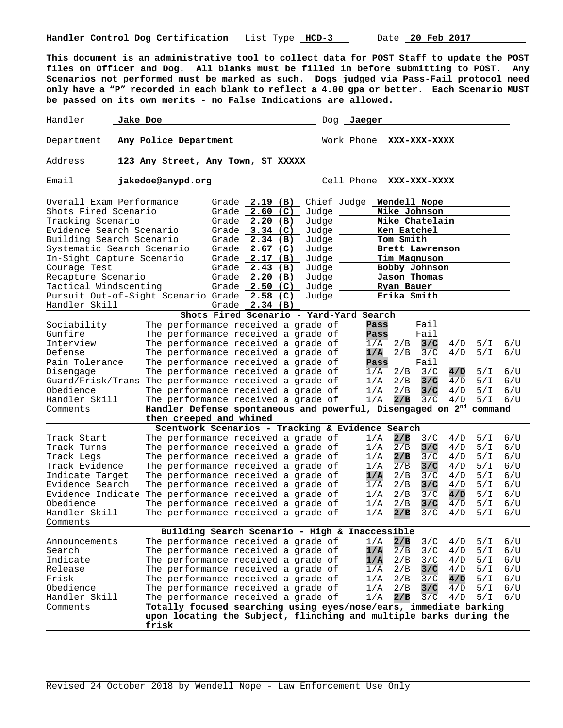**This document is an administrative tool to collect data for POST Staff to update the POST files on Officer and Dog. All blanks must be filled in before submitting to POST. Any Scenarios not performed must be marked as such. Dogs judged via Pass-Fail protocol need only have a "P" recorded in each blank to reflect a 4.00 gpa or better. Each Scenario MUST be passed on its own merits - no False Indications are allowed.**

Handler **Jake Doe Dog Jaeger Dog Jaeger** Department **Any Police Department Work Phone XXX-XXX-XXXX** Address **123 Any Street, Any Town, ST XXXXX**  Email **jakedoe@anypd.org Cell Phone XXX-XXXX** Overall Exam Performance Grade 2.19 (B) Chief Judge Wendell Nope<br>Shots Fired Scenario Grade 2.60 (C) Judge Mike Johnson Shots Fired Scenario Grade **2.60 (C)** Judge **Mike Johnson**  Tracking Scenario Grade **2.20 (B)** Judge **Mike Chatelain**  Grade 3.34 (C) Judge Ken Eatchel Building Search Scenario Grade 2.34 (B) Judge 10 Tom Smith Systematic Search Scenario Grade 2.67 (C) Judge **Brett Lawrenson** In-Sight Capture Scenario Grade **2.17 (B)** Judge **Tim Magnuson**  Courage Test **Grade Grade 2.43 (B)** Judge **Bobby Johnson**<br>Recapture Scenario **Grade 2.20 (B)** Judge **Jason Thomas** Recapture Scenario Grade **2.20 (B)** Judge **Jason Thomas**  Grade 2.50 (C) Judge <u>Ryan Bauer Ryan Bauer</u><br>Grade 2.58 (C) Judge **Rika Smith** Pursuit Out-of-Sight Scenario Grade 2.58 (C) Judge \_\_\_\_\_\_ Erika Smith Handler Skill Grade **2.34 (B) Shots Fired Scenario - Yard-Yard Search** Sociability The performance received a grade of **Pass** Fail Gunfire The performance received a grade of **Pass** Fail Fasil Interview The performance received a grade of  $1/A$  2/B 3/C Interview The performance received a grade of 1/A 2/B **3/C** 4/D 5/I 6/U Defense The performance received a grade of<br>**Pain Tolerance** The performance received a grade of The performance received a grade of **Pass** Fail<br>The performance received a grade of 1/A 2/B 3/C Disengage The performance received a grade of 1/A 2/B 3/C **4/D** 5/I 6/U Guard/Frisk/Trans The performance received a grade of  $1/A$  2/B **3/C**  $4/D$  5/I 6/U<br>Obedience The performance received a grade of  $1/A$  2/B **3/C**  $4/D$  5/I 6/U The performance received a grade of  $1/A$   $2/B$   $3/C$   $4/D$   $5/I$   $6/U$ <br>The performance received a grade of  $1/A$   $2/B$   $3/C$   $4/D$   $5/I$   $6/U$ Handler Skill The performance received a grade of Comments **Handler Defense spontaneous and powerful, Disengaged on 2nd command then creeped and whined Scentwork Scenarios - Tracking & Evidence Search**<br>he performance received a grade of 1/A 2/B 3/C Track Start The performance received a grade of 1/A **2/B** 3/C 4/D 5/I 6/U Track Turns The performance received a grade of  $1/A$   $2/B$   $3/C$   $4/D$   $5/I$   $6/U$ <br>Track Legs The performance received a grade of  $1/A$   $2/B$   $3/C$   $4/D$   $5/I$   $6/U$ Track Legs The performance received a grade of  $1/A$  2/B  $\frac{3}{C}$  4/D 5/I 6/U<br>Track Evidence The performance received a grade of  $1/A$  2/B 3/C 4/D 5/I 6/U The performance received a grade of  $1/A$ <br>The performance received a grade of  $1/A$ Indicate Target The performance received a grade of **1/A** 2/B 3/C 4/D 5/I 6/U The performance received a grade of  $\frac{1}{A}$  2/B  $\frac{3}{C}$  4/D 5/I The performance received a grade of  $1/A$  2/B  $\frac{3}{C}$  4/D 5/I Evidence Indicate The performance received a grade of 1/A 2/B 3/C **4/D** 5/I 6/U Obedience The performance received a grade of 1/A 2/B **3/C** 4/D 5/I 6/U The performance received a grade of Comments **Building Search Scenario - High & Inaccessible** Announcements The performance received a grade of 1/A **2/B** 3/C 4/D 5/I 6/U Search The performance received a grade of  $1/A$   $\overline{2/B}$   $3/C$   $4/D$   $5/I$   $6/U$ <br>Indicate The performance received a grade of  $1/A$   $2/B$   $3/C$   $4/D$   $5/I$   $6/U$ The performance received a grade of  $\frac{1}{A}$   $\frac{2}{B}$   $\frac{3}{C}$   $\frac{4}{D}$   $\frac{5}{I}$   $\frac{6}{U}$ <br>The performance received a grade of  $\frac{1}{A}$   $\frac{2}{B}$   $\frac{3}{C}$   $\frac{4}{D}$   $\frac{5}{I}$   $\frac{6}{U}$ Release The performance received a grade of  $\overline{1/A}$  2/B Frisk The performance received a grade of 1/A 2/B 3/C **4/D** 5/I 6/U<br>Obedience The performance received a grade of 1/A 2/B <mark>3/C</mark> 4/D 5/I 6/U Obedience The performance received a grade of 1/A 2/B **3/C** 4/D 5/I 6/U Handler Skill The performance received a grade of  $1/A$  2/B  $3/C$ <br>Comments **Totally focused searching using eyes/nose/ears, immed** Totally focused searching using eyes/nose/ears, immediate barking  **upon locating the Subject, flinching and multiple barks during the frisk**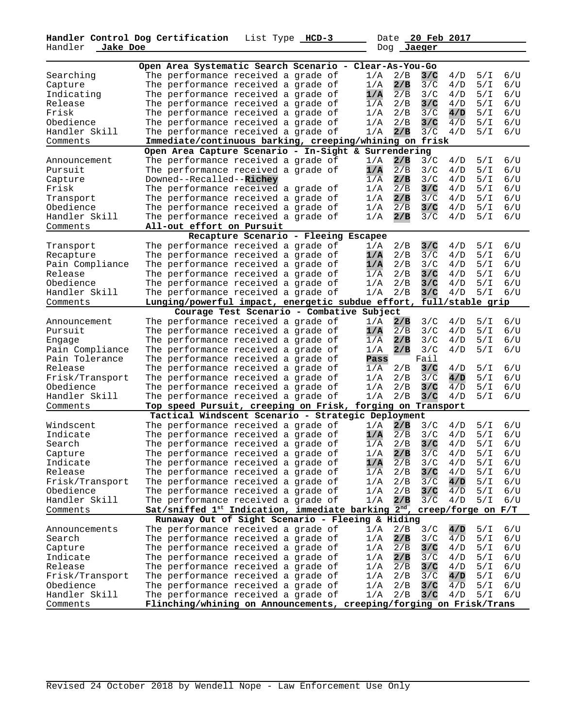**Handler Control Dog Certification** List Type **HCD-3** Date **20 Feb 2017**  Handler **Jake Doe** Dog **Jaeger** 

| Open Area Systematic Search Scenario - Clear-As-You-Go |                                                                             |  |                         |                              |  |  |  |  |
|--------------------------------------------------------|-----------------------------------------------------------------------------|--|-------------------------|------------------------------|--|--|--|--|
| Searching                                              | The performance received a grade of                                         |  | 2/B<br>1/A              | 3/C<br>5/1<br>6/U<br>4/D     |  |  |  |  |
| Capture                                                | The performance received a grade of                                         |  | 2/B<br>1/A              | 3/C<br>5/1<br>6/U<br>4/D     |  |  |  |  |
| Indicating                                             | The performance received a grade of                                         |  | 1/A<br>2/B              | 5/1<br>6/U<br>3/C<br>4/D     |  |  |  |  |
|                                                        |                                                                             |  |                         | 6/U                          |  |  |  |  |
| Release                                                | The performance received a grade of                                         |  | 1/A<br>2/B              | 3/C<br>4/D<br>5/I            |  |  |  |  |
| Frisk                                                  | The performance received a grade of                                         |  | 2/B<br>1/A              | 3/C<br>6/U<br>4/D<br>5/T     |  |  |  |  |
| Obedience                                              | The performance received a grade of                                         |  | 2/B<br>1/A              | 3/C<br>5/1<br>6/U<br>4/D     |  |  |  |  |
| Handler Skill                                          | The performance received a grade of                                         |  | 1/A<br>2/B              | 3/C<br>4/D<br>5/I<br>6/U     |  |  |  |  |
| Comments                                               | Immediate/continuous barking, creeping/whining on frisk                     |  |                         |                              |  |  |  |  |
|                                                        | Open Area Capture Scenario - In-Sight & Surrendering                        |  |                         |                              |  |  |  |  |
| Announcement                                           | The performance received a grade of                                         |  | 2/B<br>1/A              | 3/C<br>5/1<br>6/U<br>4/D     |  |  |  |  |
| Pursuit                                                | The performance received a grade of                                         |  | 1/A<br>2/B              | 6/U<br>3/C<br>4/D<br>5/I     |  |  |  |  |
| Capture                                                | Downed--Recalled--Richey                                                    |  | 2/B<br>1/A              | 3/C<br>5/1<br>6/U<br>4/D     |  |  |  |  |
| Frisk                                                  | The performance received a grade of                                         |  | 2/B<br>1/A              | 5/1<br>6/U<br>3/C<br>4/D     |  |  |  |  |
| Transport                                              | The performance received a grade of                                         |  | 1/A<br>2/B              | 3/C<br>4/D<br>5/I<br>6/U     |  |  |  |  |
| Obedience                                              | The performance received a grade of                                         |  | 2/B<br>1/A              | 3/C<br>5/1<br>6/U<br>4/D     |  |  |  |  |
| Handler Skill                                          | The performance received a grade of                                         |  | 1/A<br>2/B              | 3/C<br>5/1<br>6/U<br>4/D     |  |  |  |  |
| Comments                                               | All-out effort on Pursuit                                                   |  |                         |                              |  |  |  |  |
|                                                        | Recapture Scenario - Fleeing Escapee                                        |  |                         |                              |  |  |  |  |
| Transport                                              | The performance received a grade of                                         |  | 2/B<br>1/A              | 3/C<br>6/U<br>4/D<br>5/1     |  |  |  |  |
| Recapture                                              | The performance received a grade of                                         |  | 1/A<br>2/B              | 3/C<br>5/1<br>6/U<br>4/D     |  |  |  |  |
| Pain Compliance                                        | The performance received a grade of                                         |  | 2/B<br>1/A              | 6/U<br>3/C<br>4/D<br>5/1     |  |  |  |  |
| Release                                                | The performance received a grade of                                         |  | 2/B<br>1/A              | 6/U<br>3/C<br>4/D<br>5/I     |  |  |  |  |
| Obedience                                              | The performance received a grade of                                         |  | 2/B<br>1/A              | 6/U<br>3/C<br>4/D<br>5/1     |  |  |  |  |
| Handler Skill                                          | The performance received a grade of                                         |  | 2/B<br>1/A              | 6/U<br>3/C<br>4/D<br>5/I     |  |  |  |  |
| Comments                                               | Lunging/powerful impact, energetic subdue effort,                           |  |                         | full/stable grip             |  |  |  |  |
|                                                        | Courage Test Scenario - Combative Subject                                   |  |                         |                              |  |  |  |  |
| Announcement                                           | The performance received a grade of                                         |  | 1/A<br>2/B              | 6/U<br>3/C<br>4/D<br>5/I     |  |  |  |  |
| Pursuit                                                | The performance received a grade of                                         |  | $\overline{2/B}$<br>1/A | 6/U<br>3/C<br>4/D<br>5/I     |  |  |  |  |
| Engage                                                 | The performance received a grade of                                         |  | 2/B<br>1/A              | 3/C<br>6/U<br>4/D<br>5/I     |  |  |  |  |
| Pain Compliance                                        | The performance received a grade of                                         |  | 1/A<br>2/B              | 3/C<br>5/1<br>6/U<br>4/D     |  |  |  |  |
| Pain Tolerance                                         | The performance received a grade of                                         |  | Pass                    | Fail                         |  |  |  |  |
| Release                                                | The performance received a grade of                                         |  | 1/A<br>2/B              | 3/C<br>6/U<br>4/D<br>5/I     |  |  |  |  |
| Frisk/Transport                                        | The performance received a grade of                                         |  | 2/B<br>1/A              | 3/C<br>5/1<br>6/U<br>4/D     |  |  |  |  |
| Obedience                                              | The performance received a grade of                                         |  | 2/B<br>1/A              | 3/C<br>4/D<br>5/1<br>6/U     |  |  |  |  |
| Handler Skill                                          | The performance received a grade of                                         |  | 2/B<br>1/A              | 4/D<br>3/C<br>5/I<br>$6$ / U |  |  |  |  |
| Comments                                               | Top speed Pursuit, creeping on Frisk,                                       |  | forging on Transport    |                              |  |  |  |  |
|                                                        | Tactical Windscent Scenario - Strategic Deployment                          |  |                         |                              |  |  |  |  |
| Windscent                                              | The performance received a grade of                                         |  | 1/A<br>2/B              | 6/U<br>3/C<br>5/1<br>4/D     |  |  |  |  |
| Indicate                                               | The performance received a grade of                                         |  | 1/A<br>2/B              | 6/U<br>3/C<br>4/D<br>5/I     |  |  |  |  |
| Search                                                 | The performance received a grade of                                         |  | 2/B<br>1/A              | 3/C<br>5/1<br>6/U<br>4/D     |  |  |  |  |
| Capture                                                | The performance received a grade of                                         |  | 1/A<br>2/B              | 3/C<br>6/U<br>4/D<br>5/I     |  |  |  |  |
| Indicate                                               | The performance received a grade of                                         |  | 2/B<br>1/A              | 3/C<br>4/D<br>5/I<br>6/U     |  |  |  |  |
| Release                                                | The performance received a grade of                                         |  | 2/B<br>1/A              | 3/C<br>5/1<br>6/U<br>4/D     |  |  |  |  |
| Frisk/Transport                                        | The performance received a grade of                                         |  | 1/A<br>2/B              | 3/C<br>4/D<br>5/1<br>6/U     |  |  |  |  |
| Obedience                                              | The performance received a grade of                                         |  | 2/B<br>1/A              | 3/C<br>4/D<br>5/1<br>6/U     |  |  |  |  |
| Handler Skill                                          | The performance received a grade of                                         |  | 2/B<br>1/A              | 3/C<br>4/D<br>5/I<br>6/U     |  |  |  |  |
| Comments                                               | Sat/sniffed 1st Indication, immediate barking $2^{nd}$ , creep/forge on F/T |  |                         |                              |  |  |  |  |
| Runaway Out of Sight Scenario - Fleeing & Hiding       |                                                                             |  |                         |                              |  |  |  |  |
| Announcements                                          | The performance received a grade of                                         |  | 1/A<br>2/B              | 3/C<br>4/D<br>5/1<br>6/U     |  |  |  |  |
| Search                                                 | The performance received a grade of                                         |  | 2/B<br>1/A              | 3/C<br>4/D<br>5/1<br>6/U     |  |  |  |  |
| Capture                                                | The performance received a grade of                                         |  | 1/A<br>2/B              | 3/C<br>4/D<br>5/1<br>6/U     |  |  |  |  |
| Indicate                                               | The performance received a grade of                                         |  | 1/A<br>2/B              | 4/D<br>5/1<br>6/U<br>3/C     |  |  |  |  |
| Release                                                | The performance received a grade of                                         |  | 1/A<br>2/B              | 3/C<br>4/D<br>5/I<br>6/U     |  |  |  |  |
| Frisk/Transport                                        | The performance received a grade of                                         |  | 2/B<br>1/A              | 3/C<br>4/D<br>5/1<br>6/U     |  |  |  |  |
| Obedience                                              | The performance received a grade of                                         |  | 2/B<br>1/A              | 3/C<br>4/D<br>5/1<br>6/U     |  |  |  |  |
| Handler Skill                                          | The performance received a grade of                                         |  | 2/B<br>1/A              | 5/1<br>3/C<br>4/D<br>6/U     |  |  |  |  |
| Comments                                               | Flinching/whining on Announcements, creeping/forging on Frisk/Trans         |  |                         |                              |  |  |  |  |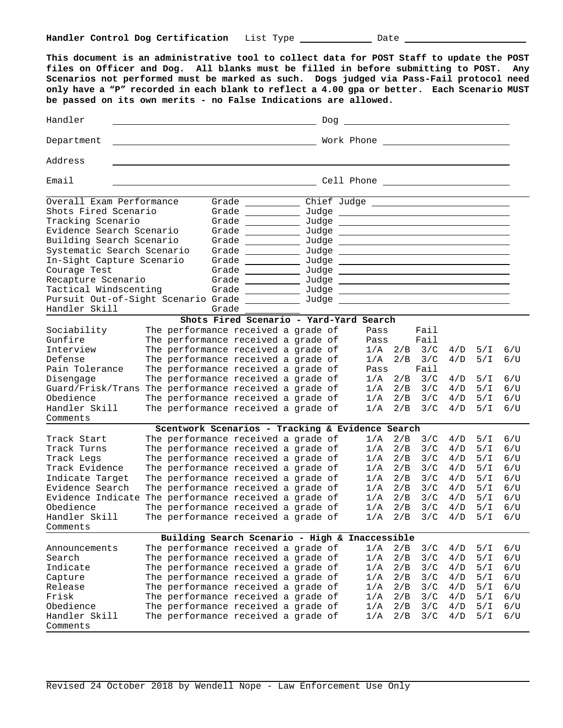**This document is an administrative tool to collect data for POST Staff to update the POST files on Officer and Dog. All blanks must be filled in before submitting to POST. Any Scenarios not performed must be marked as such. Dogs judged via Pass-Fail protocol need only have a "P" recorded in each blank to reflect a 4.00 gpa or better. Each Scenario MUST be passed on its own merits - no False Indications are allowed.** HandlerDog Department Work Phone Address Email **Cell Phone Cell Phone Cell Phone Cell Phone Cell Phone Cell Phone Cell Phone Cell Phone Cell Phone Cell Phone Cell Phone Cell Phone Cell Phone Cell Phone Cell Phone Cell Phone Cell Ph** Overall Exam Performance Grade Chief Judge \_ Chief Judge \_ Shots Fired Scenario Shots Fired Scenario Grade Judge Tracking Scenario Grade Judge Evidence Search Scenario Grade Judge Building Search Scenario Grade Judge Systematic Search Scenario Grade \_\_\_\_\_\_\_\_\_\_ Judge In-Sight Capture Scenario Grade \_\_\_\_\_\_\_\_\_\_ Judge Courage Test and Grade <u>Courage Test and Sudge</u> Recapture Scenario Grade Judge Judge Judge Judge Judge Judge Judge Judge Judge Judge Judge Judge Judge Judge Judge Judge Judge Judge Judge Judge Judge Judge Judge Judge Judge Judge Judge Judge Judge Judge Judge Judge Judge Tactical Windscenting Grade \_\_\_\_\_\_\_\_\_\_\_ Judge Pursuit Out-of-Sight Scenario Grade \_\_\_\_\_\_\_\_\_\_ Judge Handler Skill Grade **Shots Fired Scenario - Yard-Yard Search** Sociability The performance received a grade of Pass Fail Gunfire The performance received a grade of Pass Fail Interview The performance received a grade of 1/A 2/B 3/C 4/D 5/I 6/U Defense  $\,$  The performance received a grade of  $\,$   $\,$  1/A  $\,$  2/B  $\,$  3/C  $\,$  4/D  $\,$  5/I  $\,$  6/U  $\,$ Pain Tolerance The performance received a grade of Pass Fail Disengage  $\hbox{The performance received a grade of} \qquad 1/A$   $2/B$   $3/C$   $4/D$   $5/I$   $6/U$ Guard/Frisk/Trans The performance received a grade of 1/A 2/B 3/C 4/D 5/I 6/U Obedience  $\hbox{The performance received a grade of} \qquad 1/A$   $2/B$   $3/C$   $4/D$   $5/I$   $6/U$ Handler Skill The performance received a grade of 1/A 2/B 3/C 4/D 5/I 6/U Comments **Scentwork Scenarios - Tracking & Evidence Search** Track Start The performance received a grade of  $1/A$   $2/B$   $3/C$   $4/D$   $5/I$   $6/U$ <br>Track Turns The performance received a grade of  $1/A$   $2/B$   $3/C$   $4/D$   $5/I$   $6/U$ The performance received a grade of  $1/A$  2/B 3/C 4/D 5/I 6/U<br>The performance received a grade of  $1/A$  2/B 3/C 4/D 5/I 6/U Track Legs The performance received a grade of Track Evidence The performance received a grade of  $1/A$   $2/B$   $3/C$   $4/D$   $5/I$   $6/U$ <br>Indicate Target The performance received a grade of  $1/A$   $2/B$   $3/C$   $4/D$   $5/I$   $6/U$ Indicate Target The performance received a grade of  $1/A$  2/B 3/C 4/D 5/I 6/U<br>Evidence Search The performance received a grade of  $1/A$  2/B 3/C 4/D 5/I 6/U Evidence Search The performance received a grade of  $1/A$   $2/B$   $3/C$   $4/D$   $5/I$   $6/U$ <br>Evidence Indicate The performance received a grade of  $1/A$   $2/B$   $3/C$   $4/D$   $5/I$   $6/U$ Evidence Indicate The performance received a grade of  $1/A$   $2/B$   $3/C$   $4/D$   $5/I$   $6/U$ <br>Obedience The performance received a grade of  $1/A$   $2/B$   $3/C$   $4/D$   $5/I$   $6/U$ Obedience The performance received a grade of  $1/A$   $2/B$   $3/C$   $4/D$   $5/I$   $6/U$ <br>Handler Skill The performance received a grade of  $1/A$   $2/B$   $3/C$   $4/D$   $5/I$   $6/U$ Handler Skill The performance received a grade of Comments **Building Search Scenario - High & Inaccessible** Announcements The performance received a grade of  $1/A$   $2/B$   $3/C$   $4/D$   $5/I$   $6/U$ <br>Search The performance received a grade of  $1/A$   $2/D$   $3/C$   $4/D$   $5/T$   $6/U$ Search The performance received a grade of 1/A 2/B 3/C 4/D 5/I 6/U Indicate The performance received a grade of  $1/A$   $2/B$   $3/C$   $4/D$   $5/I$   $6/U$ Capture The performance received a grade of  $1/A$   $2/B$   $3/C$   $4/D$   $5/I$   $6/U$ Release  $\hbox{The performance received a grade of} \qquad 1/A$   $2/B$   $3/C$   $4/D$   $5/I$   $6/U$ Frisk The performance received a grade of 1/A 2/B 3/C 4/D 5/I 6/U Obedience  $\hbox{The performance received a grade of} \qquad 1/A$   $2/B$   $3/C$   $4/D$   $5/I$   $6/U$ Handler Skill The performance received a grade of 1/A 2/B 3/C 4/D 5/I 6/U Comments